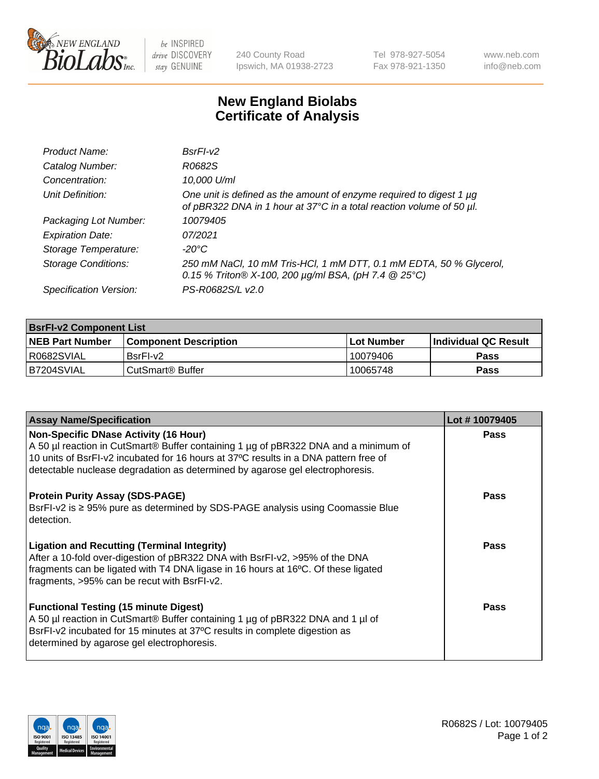

 $be$  INSPIRED drive DISCOVERY stay GENUINE

240 County Road Ipswich, MA 01938-2723 Tel 978-927-5054 Fax 978-921-1350 www.neb.com info@neb.com

## **New England Biolabs Certificate of Analysis**

| Product Name:              | $BsrFI-V2$                                                                                                                                  |
|----------------------------|---------------------------------------------------------------------------------------------------------------------------------------------|
| Catalog Number:            | R0682S                                                                                                                                      |
| Concentration:             | 10,000 U/ml                                                                                                                                 |
| Unit Definition:           | One unit is defined as the amount of enzyme required to digest 1 µg<br>of pBR322 DNA in 1 hour at 37°C in a total reaction volume of 50 µl. |
| Packaging Lot Number:      | 10079405                                                                                                                                    |
| <b>Expiration Date:</b>    | 07/2021                                                                                                                                     |
| Storage Temperature:       | $-20^{\circ}$ C                                                                                                                             |
| <b>Storage Conditions:</b> | 250 mM NaCl, 10 mM Tris-HCl, 1 mM DTT, 0.1 mM EDTA, 50 % Glycerol,<br>0.15 % Triton® X-100, 200 µg/ml BSA, (pH 7.4 @ 25°C)                  |
| Specification Version:     | PS-R0682S/L v2.0                                                                                                                            |

| <b>BsrFI-v2 Component List</b> |                         |             |                             |  |  |
|--------------------------------|-------------------------|-------------|-----------------------------|--|--|
| <b>NEB Part Number</b>         | l Component Description | ⊺Lot Number | <b>Individual QC Result</b> |  |  |
| I R0682SVIAL                   | BsrFI-v2                | 10079406    | Pass                        |  |  |
| IB7204SVIAL                    | l CutSmart® Buffer_     | 10065748    | Pass                        |  |  |

| <b>Assay Name/Specification</b>                                                                                                                                                                                                                                                                              | Lot #10079405 |
|--------------------------------------------------------------------------------------------------------------------------------------------------------------------------------------------------------------------------------------------------------------------------------------------------------------|---------------|
| <b>Non-Specific DNase Activity (16 Hour)</b><br>A 50 µl reaction in CutSmart® Buffer containing 1 µg of pBR322 DNA and a minimum of<br>10 units of BsrFI-v2 incubated for 16 hours at 37°C results in a DNA pattern free of<br>detectable nuclease degradation as determined by agarose gel electrophoresis. | Pass          |
| <b>Protein Purity Assay (SDS-PAGE)</b><br>BsrFI-v2 is ≥ 95% pure as determined by SDS-PAGE analysis using Coomassie Blue<br>detection.                                                                                                                                                                       | Pass          |
| <b>Ligation and Recutting (Terminal Integrity)</b><br>After a 10-fold over-digestion of pBR322 DNA with BsrFI-v2, >95% of the DNA<br>fragments can be ligated with T4 DNA ligase in 16 hours at 16°C. Of these ligated<br>fragments, >95% can be recut with BsrFI-v2.                                        | <b>Pass</b>   |
| <b>Functional Testing (15 minute Digest)</b><br>A 50 µl reaction in CutSmart® Buffer containing 1 µg of pBR322 DNA and 1 µl of<br>BsrFI-v2 incubated for 15 minutes at 37°C results in complete digestion as<br>determined by agarose gel electrophoresis.                                                   | Pass          |